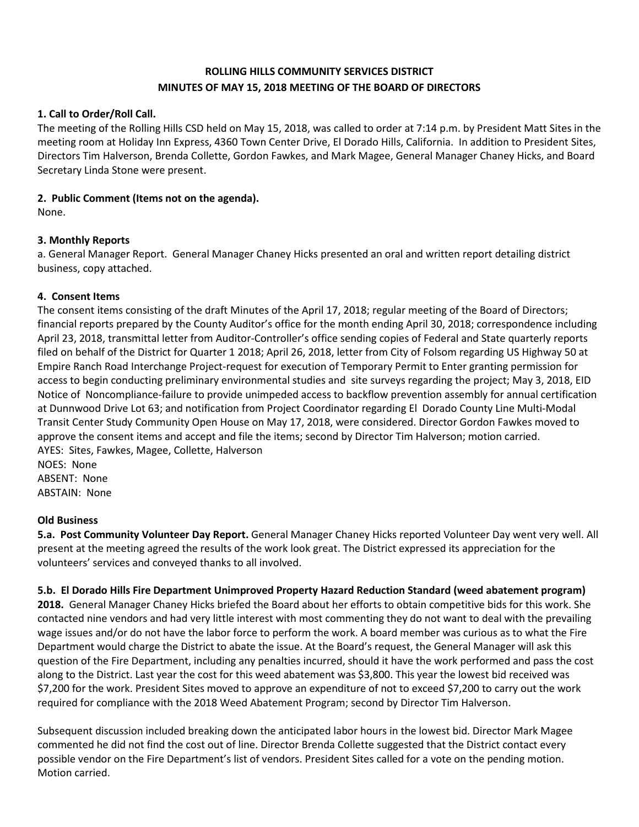# **ROLLING HILLS COMMUNITY SERVICES DISTRICT MINUTES OF MAY 15, 2018 MEETING OF THE BOARD OF DIRECTORS**

## **1. Call to Order/Roll Call.**

The meeting of the Rolling Hills CSD held on May 15, 2018, was called to order at 7:14 p.m. by President Matt Sites in the meeting room at Holiday Inn Express, 4360 Town Center Drive, El Dorado Hills, California. In addition to President Sites, Directors Tim Halverson, Brenda Collette, Gordon Fawkes, and Mark Magee, General Manager Chaney Hicks, and Board Secretary Linda Stone were present.

### **2. Public Comment (Items not on the agenda).**

None.

## **3. Monthly Reports**

a. General Manager Report. General Manager Chaney Hicks presented an oral and written report detailing district business, copy attached.

### **4. Consent Items**

The consent items consisting of the draft Minutes of the April 17, 2018; regular meeting of the Board of Directors; financial reports prepared by the County Auditor's office for the month ending April 30, 2018; correspondence including April 23, 2018, transmittal letter from Auditor-Controller's office sending copies of Federal and State quarterly reports filed on behalf of the District for Quarter 1 2018; April 26, 2018, letter from City of Folsom regarding US Highway 50 at Empire Ranch Road Interchange Project-request for execution of Temporary Permit to Enter granting permission for access to begin conducting preliminary environmental studies and site surveys regarding the project; May 3, 2018, EID Notice of Noncompliance-failure to provide unimpeded access to backflow prevention assembly for annual certification at Dunnwood Drive Lot 63; and notification from Project Coordinator regarding El Dorado County Line Multi-Modal Transit Center Study Community Open House on May 17, 2018, were considered. Director Gordon Fawkes moved to approve the consent items and accept and file the items; second by Director Tim Halverson; motion carried. AYES: Sites, Fawkes, Magee, Collette, Halverson NOES: None

ABSENT: None ABSTAIN: None

#### **Old Business**

**5.a. Post Community Volunteer Day Report.** General Manager Chaney Hicks reported Volunteer Day went very well. All present at the meeting agreed the results of the work look great. The District expressed its appreciation for the volunteers' services and conveyed thanks to all involved.

## **5.b. El Dorado Hills Fire Department Unimproved Property Hazard Reduction Standard (weed abatement program)**

**2018.** General Manager Chaney Hicks briefed the Board about her efforts to obtain competitive bids for this work. She contacted nine vendors and had very little interest with most commenting they do not want to deal with the prevailing wage issues and/or do not have the labor force to perform the work. A board member was curious as to what the Fire Department would charge the District to abate the issue. At the Board's request, the General Manager will ask this question of the Fire Department, including any penalties incurred, should it have the work performed and pass the cost along to the District. Last year the cost for this weed abatement was \$3,800. This year the lowest bid received was \$7,200 for the work. President Sites moved to approve an expenditure of not to exceed \$7,200 to carry out the work required for compliance with the 2018 Weed Abatement Program; second by Director Tim Halverson.

Subsequent discussion included breaking down the anticipated labor hours in the lowest bid. Director Mark Magee commented he did not find the cost out of line. Director Brenda Collette suggested that the District contact every possible vendor on the Fire Department's list of vendors. President Sites called for a vote on the pending motion. Motion carried.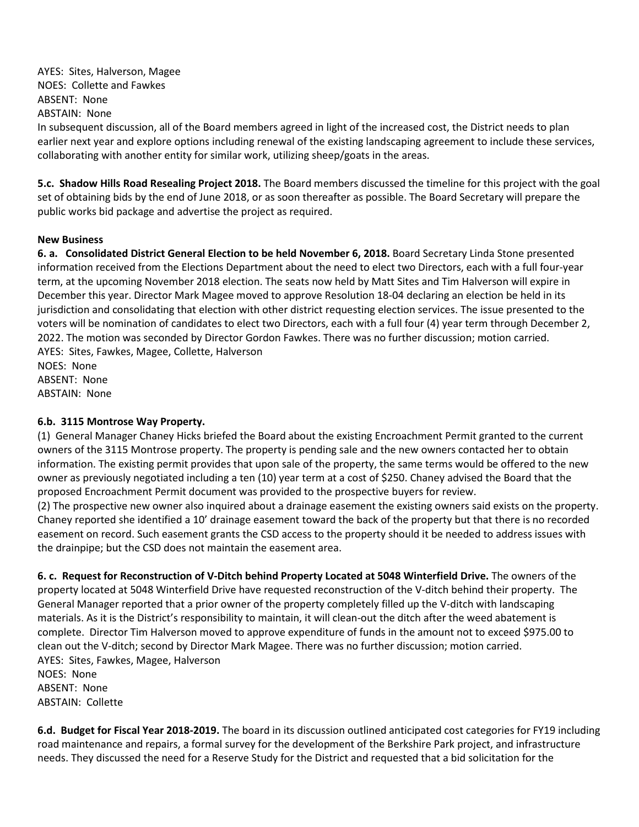AYES: Sites, Halverson, Magee NOES: Collette and Fawkes ABSENT: None ABSTAIN: None

In subsequent discussion, all of the Board members agreed in light of the increased cost, the District needs to plan earlier next year and explore options including renewal of the existing landscaping agreement to include these services, collaborating with another entity for similar work, utilizing sheep/goats in the areas.

**5.c. Shadow Hills Road Resealing Project 2018.** The Board members discussed the timeline for this project with the goal set of obtaining bids by the end of June 2018, or as soon thereafter as possible. The Board Secretary will prepare the public works bid package and advertise the project as required.

### **New Business**

**6. a. Consolidated District General Election to be held November 6, 2018.** Board Secretary Linda Stone presented information received from the Elections Department about the need to elect two Directors, each with a full four-year term, at the upcoming November 2018 election. The seats now held by Matt Sites and Tim Halverson will expire in December this year. Director Mark Magee moved to approve Resolution 18-04 declaring an election be held in its jurisdiction and consolidating that election with other district requesting election services. The issue presented to the voters will be nomination of candidates to elect two Directors, each with a full four (4) year term through December 2, 2022. The motion was seconded by Director Gordon Fawkes. There was no further discussion; motion carried. AYES: Sites, Fawkes, Magee, Collette, Halverson NOES: None

ABSENT: None ABSTAIN: None

## **6.b. 3115 Montrose Way Property.**

(1)General Manager Chaney Hicks briefed the Board about the existing Encroachment Permit granted to the current owners of the 3115 Montrose property. The property is pending sale and the new owners contacted her to obtain information. The existing permit provides that upon sale of the property, the same terms would be offered to the new owner as previously negotiated including a ten (10) year term at a cost of \$250. Chaney advised the Board that the proposed Encroachment Permit document was provided to the prospective buyers for review.

(2) The prospective new owner also inquired about a drainage easement the existing owners said exists on the property. Chaney reported she identified a 10' drainage easement toward the back of the property but that there is no recorded easement on record. Such easement grants the CSD access to the property should it be needed to address issues with the drainpipe; but the CSD does not maintain the easement area.

**6. c. Request for Reconstruction of V-Ditch behind Property Located at 5048 Winterfield Drive.** The owners of the property located at 5048 Winterfield Drive have requested reconstruction of the V-ditch behind their property. The General Manager reported that a prior owner of the property completely filled up the V-ditch with landscaping materials. As it is the District's responsibility to maintain, it will clean-out the ditch after the weed abatement is complete. Director Tim Halverson moved to approve expenditure of funds in the amount not to exceed \$975.00 to clean out the V-ditch; second by Director Mark Magee. There was no further discussion; motion carried. AYES: Sites, Fawkes, Magee, Halverson NOES: None

ABSENT: None ABSTAIN: Collette

**6.d. Budget for Fiscal Year 2018-2019.** The board in its discussion outlined anticipated cost categories for FY19 including road maintenance and repairs, a formal survey for the development of the Berkshire Park project, and infrastructure needs. They discussed the need for a Reserve Study for the District and requested that a bid solicitation for the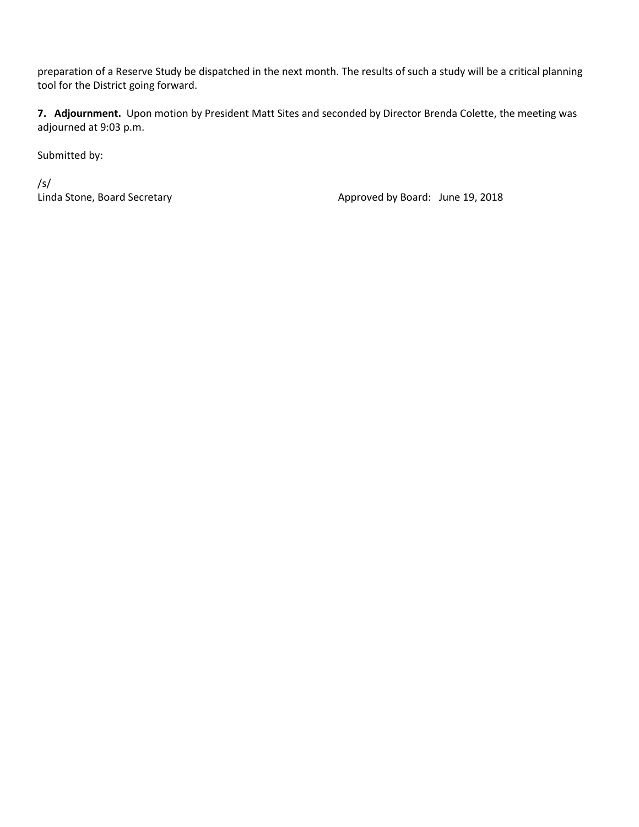preparation of a Reserve Study be dispatched in the next month. The results of such a study will be a critical planning tool for the District going forward.

**7. Adjournment.** Upon motion by President Matt Sites and seconded by Director Brenda Colette, the meeting was adjourned at 9:03 p.m.

Submitted by:

/s/

Linda Stone, Board Secretary **Approved by Board:** June 19, 2018